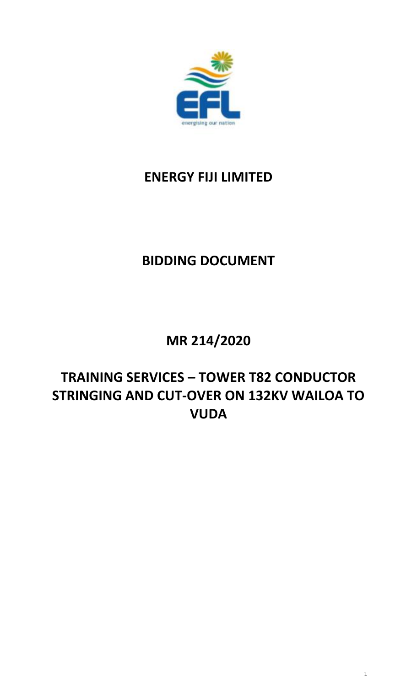

# **ENERGY FIJI LIMITED**

# **BIDDING DOCUMENT**

# **MR 214/2020**

# **TRAINING SERVICES – TOWER T82 CONDUCTOR STRINGING AND CUT-OVER ON 132KV WAILOA TO VUDA**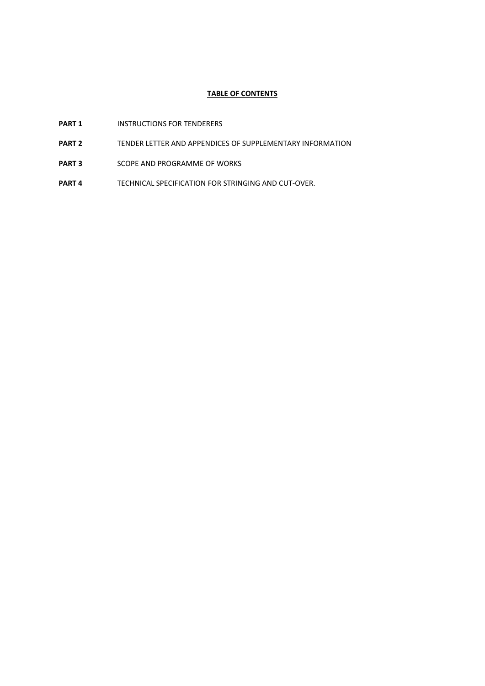### **TABLE OF CONTENTS**

- **PART 1** INSTRUCTIONS FOR TENDERERS
- **PART 2** TENDER LETTER AND APPENDICES OF SUPPLEMENTARY INFORMATION
- **PART 3** SCOPE AND PROGRAMME OF WORKS
- **PART 4** TECHNICAL SPECIFICATION FOR STRINGING AND CUT-OVER.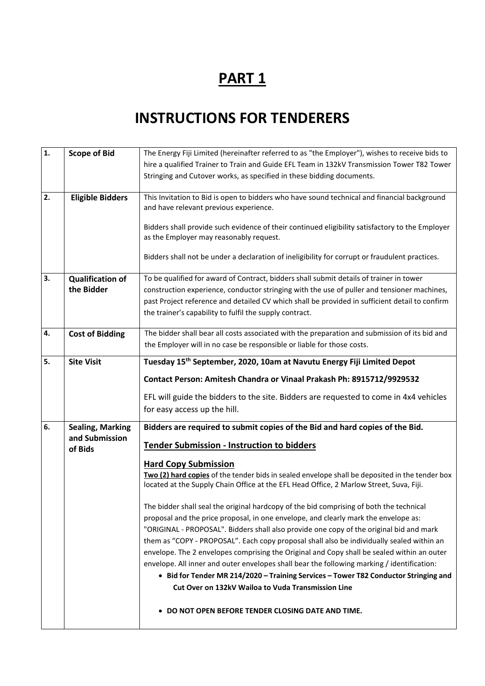# **INSTRUCTIONS FOR TENDERERS**

| $\mathbf{1}$ . | <b>Scope of Bid</b>     | The Energy Fiji Limited (hereinafter referred to as "the Employer"), wishes to receive bids to  |
|----------------|-------------------------|-------------------------------------------------------------------------------------------------|
|                |                         | hire a qualified Trainer to Train and Guide EFL Team in 132kV Transmission Tower T82 Tower      |
|                |                         | Stringing and Cutover works, as specified in these bidding documents.                           |
|                |                         |                                                                                                 |
| 2.             | <b>Eligible Bidders</b> | This Invitation to Bid is open to bidders who have sound technical and financial background     |
|                |                         | and have relevant previous experience.                                                          |
|                |                         |                                                                                                 |
|                |                         | Bidders shall provide such evidence of their continued eligibility satisfactory to the Employer |
|                |                         | as the Employer may reasonably request.                                                         |
|                |                         |                                                                                                 |
|                |                         | Bidders shall not be under a declaration of ineligibility for corrupt or fraudulent practices.  |
|                |                         |                                                                                                 |
| 3.             | <b>Qualification of</b> | To be qualified for award of Contract, bidders shall submit details of trainer in tower         |
|                | the Bidder              | construction experience, conductor stringing with the use of puller and tensioner machines,     |
|                |                         | past Project reference and detailed CV which shall be provided in sufficient detail to confirm  |
|                |                         | the trainer's capability to fulfil the supply contract.                                         |
| 4.             |                         | The bidder shall bear all costs associated with the preparation and submission of its bid and   |
|                | <b>Cost of Bidding</b>  |                                                                                                 |
|                |                         | the Employer will in no case be responsible or liable for those costs.                          |
| 5.             | <b>Site Visit</b>       | Tuesday 15 <sup>th</sup> September, 2020, 10am at Navutu Energy Fiji Limited Depot              |
|                |                         | Contact Person: Amitesh Chandra or Vinaal Prakash Ph: 8915712/9929532                           |
|                |                         |                                                                                                 |
|                |                         | EFL will guide the bidders to the site. Bidders are requested to come in 4x4 vehicles           |
|                |                         | for easy access up the hill.                                                                    |
| 6.             | <b>Sealing, Marking</b> | Bidders are required to submit copies of the Bid and hard copies of the Bid.                    |
|                | and Submission          | <b>Tender Submission - Instruction to bidders</b>                                               |
|                | of Bids                 |                                                                                                 |
|                |                         | <b>Hard Copy Submission</b>                                                                     |
|                |                         | Two (2) hard copies of the tender bids in sealed envelope shall be deposited in the tender box  |
|                |                         | located at the Supply Chain Office at the EFL Head Office, 2 Marlow Street, Suva, Fiji.         |
|                |                         | The bidder shall seal the original hardcopy of the bid comprising of both the technical         |
|                |                         | proposal and the price proposal, in one envelope, and clearly mark the envelope as:             |
|                |                         | "ORIGINAL - PROPOSAL". Bidders shall also provide one copy of the original bid and mark         |
|                |                         | them as "COPY - PROPOSAL". Each copy proposal shall also be individually sealed within an       |
|                |                         | envelope. The 2 envelopes comprising the Original and Copy shall be sealed within an outer      |
|                |                         | envelope. All inner and outer envelopes shall bear the following marking / identification:      |
|                |                         |                                                                                                 |
|                |                         | • Bid for Tender MR 214/2020 - Training Services - Tower T82 Conductor Stringing and            |
|                |                         | Cut Over on 132kV Wailoa to Vuda Transmission Line                                              |
|                |                         |                                                                                                 |
|                |                         |                                                                                                 |
|                |                         | DO NOT OPEN BEFORE TENDER CLOSING DATE AND TIME.                                                |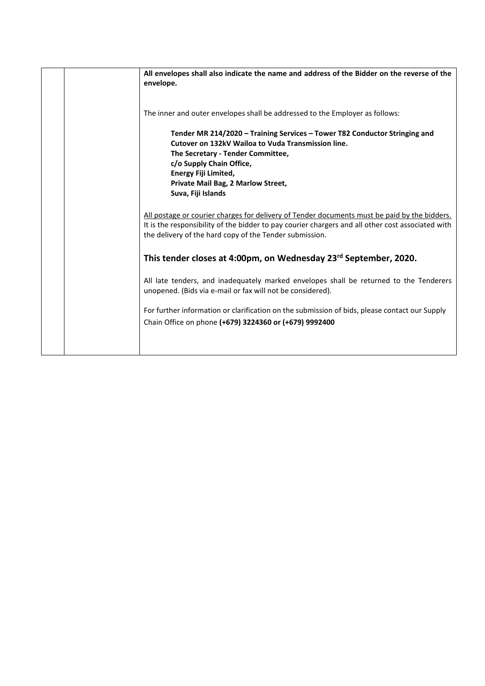| All envelopes shall also indicate the name and address of the Bidder on the reverse of the<br>envelope.                                                                                                                                                                               |
|---------------------------------------------------------------------------------------------------------------------------------------------------------------------------------------------------------------------------------------------------------------------------------------|
| The inner and outer envelopes shall be addressed to the Employer as follows:                                                                                                                                                                                                          |
| Tender MR 214/2020 - Training Services - Tower T82 Conductor Stringing and<br>Cutover on 132kV Wailoa to Vuda Transmission line.<br>The Secretary - Tender Committee,<br>c/o Supply Chain Office,<br>Energy Fiji Limited,<br>Private Mail Bag, 2 Marlow Street,<br>Suva, Fiji Islands |
| All postage or courier charges for delivery of Tender documents must be paid by the bidders.<br>It is the responsibility of the bidder to pay courier chargers and all other cost associated with<br>the delivery of the hard copy of the Tender submission.                          |
| This tender closes at 4:00pm, on Wednesday 23rd September, 2020.                                                                                                                                                                                                                      |
| All late tenders, and inadequately marked envelopes shall be returned to the Tenderers<br>unopened. (Bids via e-mail or fax will not be considered).                                                                                                                                  |
| For further information or clarification on the submission of bids, please contact our Supply<br>Chain Office on phone (+679) 3224360 or (+679) 9992400                                                                                                                               |
|                                                                                                                                                                                                                                                                                       |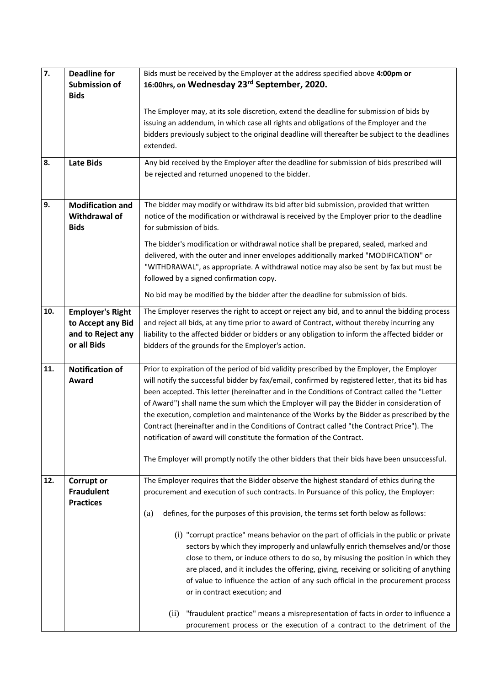| $\overline{7}$ . | <b>Deadline for</b><br><b>Submission of</b><br><b>Bids</b>                       | Bids must be received by the Employer at the address specified above 4:00pm or<br>16:00hrs, on Wednesday 23rd September, 2020.                                                                                                                                                                                                                                                                                                                                                                                                                                                                                                                                                                                                                                                                                                                                                                                                           |
|------------------|----------------------------------------------------------------------------------|------------------------------------------------------------------------------------------------------------------------------------------------------------------------------------------------------------------------------------------------------------------------------------------------------------------------------------------------------------------------------------------------------------------------------------------------------------------------------------------------------------------------------------------------------------------------------------------------------------------------------------------------------------------------------------------------------------------------------------------------------------------------------------------------------------------------------------------------------------------------------------------------------------------------------------------|
|                  |                                                                                  | The Employer may, at its sole discretion, extend the deadline for submission of bids by<br>issuing an addendum, in which case all rights and obligations of the Employer and the<br>bidders previously subject to the original deadline will thereafter be subject to the deadlines<br>extended.                                                                                                                                                                                                                                                                                                                                                                                                                                                                                                                                                                                                                                         |
| 8.               | <b>Late Bids</b>                                                                 | Any bid received by the Employer after the deadline for submission of bids prescribed will<br>be rejected and returned unopened to the bidder.                                                                                                                                                                                                                                                                                                                                                                                                                                                                                                                                                                                                                                                                                                                                                                                           |
| 9.               | <b>Modification and</b><br>Withdrawal of<br><b>Bids</b>                          | The bidder may modify or withdraw its bid after bid submission, provided that written<br>notice of the modification or withdrawal is received by the Employer prior to the deadline<br>for submission of bids.                                                                                                                                                                                                                                                                                                                                                                                                                                                                                                                                                                                                                                                                                                                           |
|                  |                                                                                  | The bidder's modification or withdrawal notice shall be prepared, sealed, marked and<br>delivered, with the outer and inner envelopes additionally marked "MODIFICATION" or<br>"WITHDRAWAL", as appropriate. A withdrawal notice may also be sent by fax but must be<br>followed by a signed confirmation copy.                                                                                                                                                                                                                                                                                                                                                                                                                                                                                                                                                                                                                          |
|                  |                                                                                  | No bid may be modified by the bidder after the deadline for submission of bids.                                                                                                                                                                                                                                                                                                                                                                                                                                                                                                                                                                                                                                                                                                                                                                                                                                                          |
| 10.              | <b>Employer's Right</b><br>to Accept any Bid<br>and to Reject any<br>or all Bids | The Employer reserves the right to accept or reject any bid, and to annul the bidding process<br>and reject all bids, at any time prior to award of Contract, without thereby incurring any<br>liability to the affected bidder or bidders or any obligation to inform the affected bidder or<br>bidders of the grounds for the Employer's action.                                                                                                                                                                                                                                                                                                                                                                                                                                                                                                                                                                                       |
| 11.              | <b>Notification of</b><br>Award                                                  | Prior to expiration of the period of bid validity prescribed by the Employer, the Employer<br>will notify the successful bidder by fax/email, confirmed by registered letter, that its bid has<br>been accepted. This letter (hereinafter and in the Conditions of Contract called the "Letter<br>of Award") shall name the sum which the Employer will pay the Bidder in consideration of<br>the execution, completion and maintenance of the Works by the Bidder as prescribed by the<br>Contract (hereinafter and in the Conditions of Contract called "the Contract Price"). The<br>notification of award will constitute the formation of the Contract.<br>The Employer will promptly notify the other bidders that their bids have been unsuccessful.                                                                                                                                                                              |
| 12.              | <b>Corrupt or</b><br><b>Fraudulent</b><br><b>Practices</b>                       | The Employer requires that the Bidder observe the highest standard of ethics during the<br>procurement and execution of such contracts. In Pursuance of this policy, the Employer:<br>defines, for the purposes of this provision, the terms set forth below as follows:<br>(a)<br>(i) "corrupt practice" means behavior on the part of officials in the public or private<br>sectors by which they improperly and unlawfully enrich themselves and/or those<br>close to them, or induce others to do so, by misusing the position in which they<br>are placed, and it includes the offering, giving, receiving or soliciting of anything<br>of value to influence the action of any such official in the procurement process<br>or in contract execution; and<br>"fraudulent practice" means a misrepresentation of facts in order to influence a<br>(ii)<br>procurement process or the execution of a contract to the detriment of the |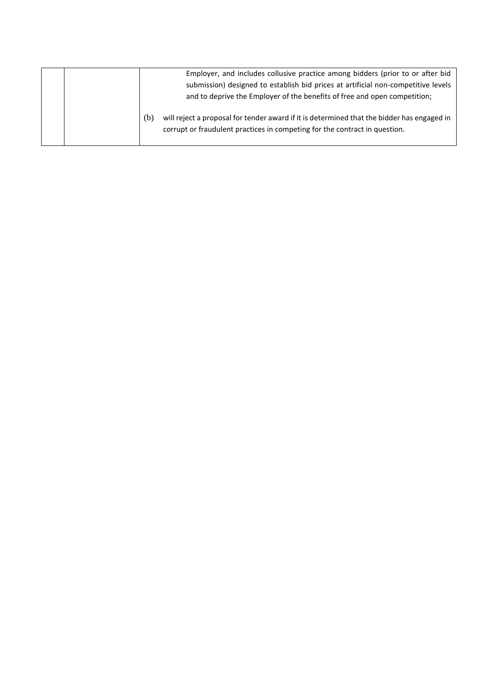|  |     | Employer, and includes collusive practice among bidders (prior to or after bid                                                                                           |
|--|-----|--------------------------------------------------------------------------------------------------------------------------------------------------------------------------|
|  |     | submission) designed to establish bid prices at artificial non-competitive levels                                                                                        |
|  |     | and to deprive the Employer of the benefits of free and open competition;                                                                                                |
|  | (b) | will reject a proposal for tender award if it is determined that the bidder has engaged in<br>corrupt or fraudulent practices in competing for the contract in question. |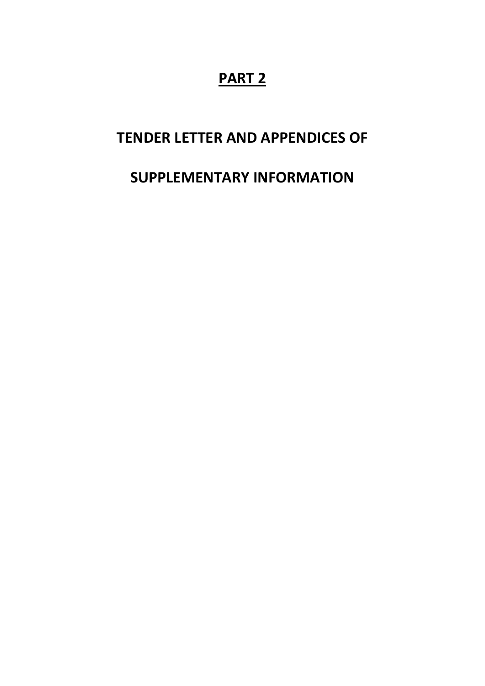# **TENDER LETTER AND APPENDICES OF**

# **SUPPLEMENTARY INFORMATION**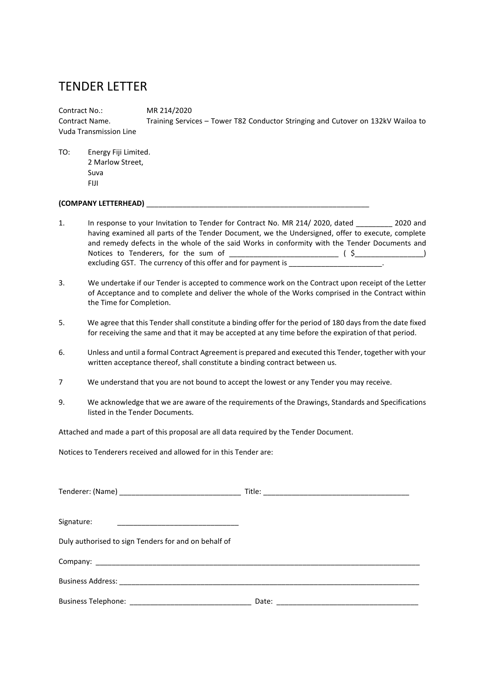# TENDER LETTER

Contract No.: MR 214/2020 Contract Name. Training Services – Tower T82 Conductor Stringing and Cutover on 132kV Wailoa to Vuda Transmission Line

TO: Energy Fiji Limited. 2 Marlow Street, Suva FIJI

#### **(COMPANY LETTERHEAD)** \_\_\_\_\_\_\_\_\_\_\_\_\_\_\_\_\_\_\_\_\_\_\_\_\_\_\_\_\_\_\_\_\_\_\_\_\_\_\_\_\_\_\_\_\_\_\_\_\_\_\_\_\_\_\_

- 1. In response to your Invitation to Tender for Contract No. MR 214/ 2020, dated \_\_\_\_\_\_\_\_\_ 2020 and having examined all parts of the Tender Document, we the Undersigned, offer to execute, complete and remedy defects in the whole of the said Works in conformity with the Tender Documents and Notices to Tenderers, for the sum of \_\_\_\_\_\_\_\_\_\_\_\_\_\_\_\_\_\_\_\_\_\_\_\_\_\_\_ ( \$\_\_\_\_\_\_\_\_\_\_\_\_\_\_\_\_\_) excluding GST. The currency of this offer and for payment is \_\_\_\_\_\_\_\_\_\_\_\_\_\_\_\_\_\_\_
- 3. We undertake if our Tender is accepted to commence work on the Contract upon receipt of the Letter of Acceptance and to complete and deliver the whole of the Works comprised in the Contract within the Time for Completion.
- 5. We agree that this Tender shall constitute a binding offer for the period of 180 days from the date fixed for receiving the same and that it may be accepted at any time before the expiration of that period.
- 6. Unless and until a formal Contract Agreement is prepared and executed this Tender, together with your written acceptance thereof, shall constitute a binding contract between us.
- 7 We understand that you are not bound to accept the lowest or any Tender you may receive.
- 9. We acknowledge that we are aware of the requirements of the Drawings, Standards and Specifications listed in the Tender Documents.

Attached and made a part of this proposal are all data required by the Tender Document.

Notices to Tenderers received and allowed for in this Tender are:

| Signature:                                           |  |
|------------------------------------------------------|--|
| Duly authorised to sign Tenders for and on behalf of |  |
|                                                      |  |
|                                                      |  |
|                                                      |  |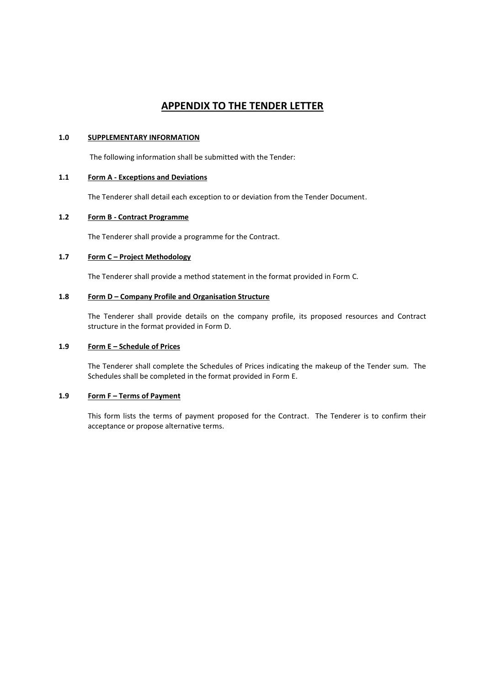## **APPENDIX TO THE TENDER LETTER**

#### **1.0 SUPPLEMENTARY INFORMATION**

The following information shall be submitted with the Tender:

### **1.1 Form A - Exceptions and Deviations**

The Tenderer shall detail each exception to or deviation from the Tender Document.

#### **1.2 Form B - Contract Programme**

The Tenderer shall provide a programme for the Contract.

### **1.7 Form C – Project Methodology**

The Tenderer shall provide a method statement in the format provided in Form C.

#### **1.8 Form D – Company Profile and Organisation Structure**

The Tenderer shall provide details on the company profile, its proposed resources and Contract structure in the format provided in Form D.

#### **1.9 Form E – Schedule of Prices**

The Tenderer shall complete the Schedules of Prices indicating the makeup of the Tender sum. The Schedules shall be completed in the format provided in Form E.

### **1.9 Form F – Terms of Payment**

This form lists the terms of payment proposed for the Contract. The Tenderer is to confirm their acceptance or propose alternative terms.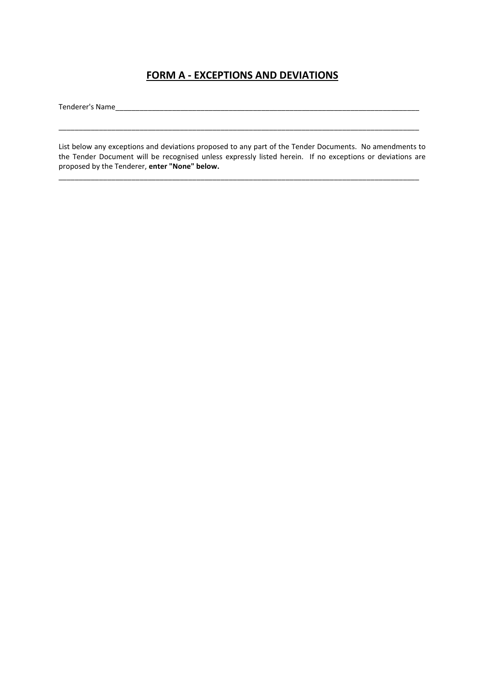## **FORM A - EXCEPTIONS AND DEVIATIONS**

Tenderer's Name

List below any exceptions and deviations proposed to any part of the Tender Documents. No amendments to the Tender Document will be recognised unless expressly listed herein. If no exceptions or deviations are proposed by the Tenderer, **enter "None" below.**

\_\_\_\_\_\_\_\_\_\_\_\_\_\_\_\_\_\_\_\_\_\_\_\_\_\_\_\_\_\_\_\_\_\_\_\_\_\_\_\_\_\_\_\_\_\_\_\_\_\_\_\_\_\_\_\_\_\_\_\_\_\_\_\_\_\_\_\_\_\_\_\_\_\_\_\_\_\_\_\_\_\_\_\_\_\_\_\_\_

\_\_\_\_\_\_\_\_\_\_\_\_\_\_\_\_\_\_\_\_\_\_\_\_\_\_\_\_\_\_\_\_\_\_\_\_\_\_\_\_\_\_\_\_\_\_\_\_\_\_\_\_\_\_\_\_\_\_\_\_\_\_\_\_\_\_\_\_\_\_\_\_\_\_\_\_\_\_\_\_\_\_\_\_\_\_\_\_\_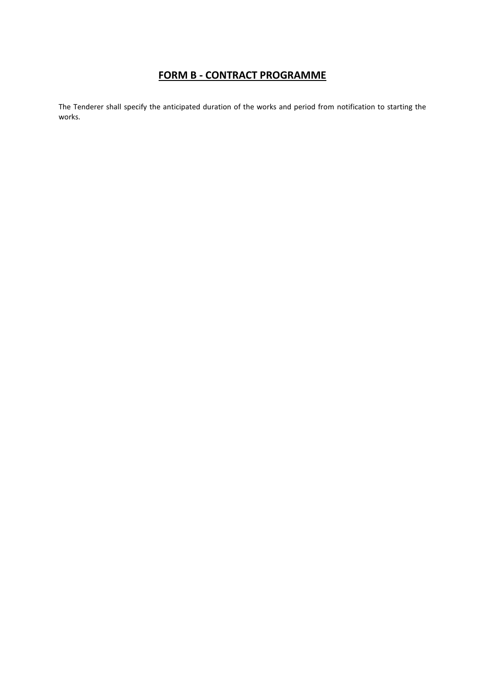# **FORM B - CONTRACT PROGRAMME**

The Tenderer shall specify the anticipated duration of the works and period from notification to starting the works.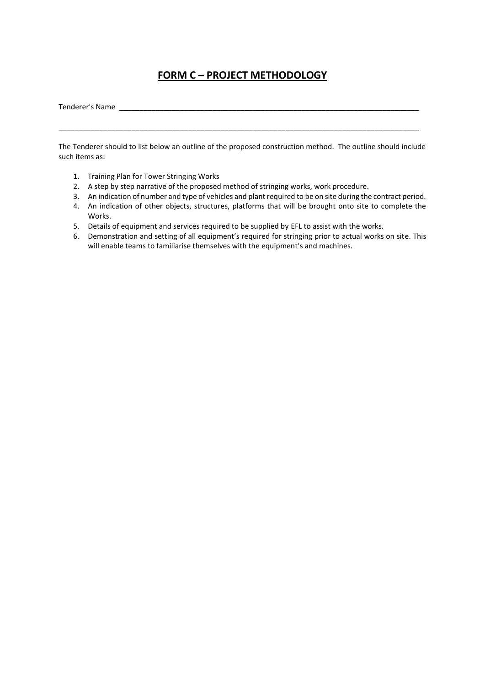# **FORM C – PROJECT METHODOLOGY**

Tenderer's Name

\_\_\_\_\_\_\_\_\_\_\_\_\_\_\_\_\_\_\_\_\_\_\_\_\_\_\_\_\_\_\_\_\_\_\_\_\_\_\_\_\_\_\_\_\_\_\_\_\_\_\_\_\_\_\_\_\_\_\_\_\_\_\_\_\_\_\_\_\_\_\_\_\_\_\_\_\_\_\_\_\_\_\_\_\_\_\_\_\_

The Tenderer should to list below an outline of the proposed construction method. The outline should include such items as:

- 1. Training Plan for Tower Stringing Works
- 2. A step by step narrative of the proposed method of stringing works, work procedure.
- 3. An indication of number and type of vehicles and plant required to be on site during the contract period.
- 4. An indication of other objects, structures, platforms that will be brought onto site to complete the Works.
- 5. Details of equipment and services required to be supplied by EFL to assist with the works.
- 6. Demonstration and setting of all equipment's required for stringing prior to actual works on site. This will enable teams to familiarise themselves with the equipment's and machines.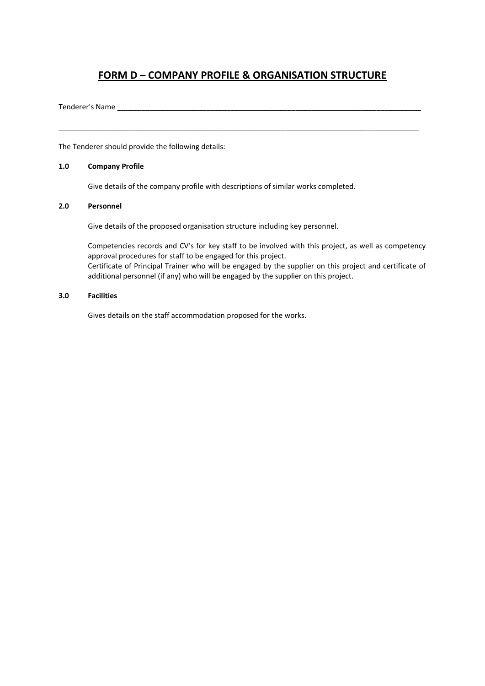# **FORM D – COMPANY PROFILE & ORGANISATION STRUCTURE**

\_\_\_\_\_\_\_\_\_\_\_\_\_\_\_\_\_\_\_\_\_\_\_\_\_\_\_\_\_\_\_\_\_\_\_\_\_\_\_\_\_\_\_\_\_\_\_\_\_\_\_\_\_\_\_\_\_\_\_\_\_\_\_\_\_\_\_\_\_\_\_\_\_\_\_\_\_\_\_\_\_\_\_\_\_\_\_\_\_

Tenderer's Name

The Tenderer should provide the following details:

#### **1.0 Company Profile**

Give details of the company profile with descriptions of similar works completed.

#### **2.0 Personnel**

Give details of the proposed organisation structure including key personnel.

Competencies records and CV's for key staff to be involved with this project, as well as competency approval procedures for staff to be engaged for this project. Certificate of Principal Trainer who will be engaged by the supplier on this project and certificate of additional personnel (if any) who will be engaged by the supplier on this project.

#### **3.0 Facilities**

Gives details on the staff accommodation proposed for the works.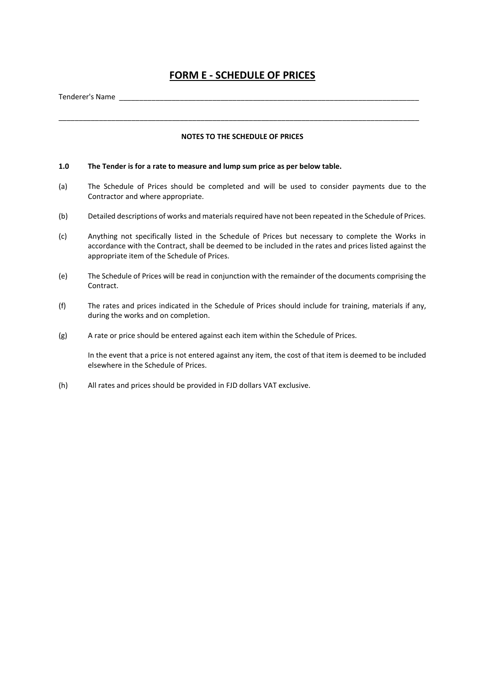## **FORM E - SCHEDULE OF PRICES**

Tenderer's Name \_\_\_\_\_\_\_\_\_\_\_\_\_\_\_\_\_\_\_\_\_\_\_\_\_\_\_\_\_\_\_\_\_\_\_\_\_\_\_\_\_\_\_\_\_\_\_\_\_\_\_\_\_\_\_\_\_\_\_\_\_\_\_\_\_\_\_\_\_\_\_\_\_\_

#### **NOTES TO THE SCHEDULE OF PRICES**

\_\_\_\_\_\_\_\_\_\_\_\_\_\_\_\_\_\_\_\_\_\_\_\_\_\_\_\_\_\_\_\_\_\_\_\_\_\_\_\_\_\_\_\_\_\_\_\_\_\_\_\_\_\_\_\_\_\_\_\_\_\_\_\_\_\_\_\_\_\_\_\_\_\_\_\_\_\_\_\_\_\_\_\_\_\_\_\_\_

#### **1.0 The Tender is for a rate to measure and lump sum price as per below table.**

- (a) The Schedule of Prices should be completed and will be used to consider payments due to the Contractor and where appropriate.
- (b) Detailed descriptions of works and materials required have not been repeated in the Schedule of Prices.
- (c) Anything not specifically listed in the Schedule of Prices but necessary to complete the Works in accordance with the Contract, shall be deemed to be included in the rates and prices listed against the appropriate item of the Schedule of Prices.
- (e) The Schedule of Prices will be read in conjunction with the remainder of the documents comprising the Contract.
- (f) The rates and prices indicated in the Schedule of Prices should include for training, materials if any, during the works and on completion.
- (g) A rate or price should be entered against each item within the Schedule of Prices.

In the event that a price is not entered against any item, the cost of that item is deemed to be included elsewhere in the Schedule of Prices.

(h) All rates and prices should be provided in FJD dollars VAT exclusive.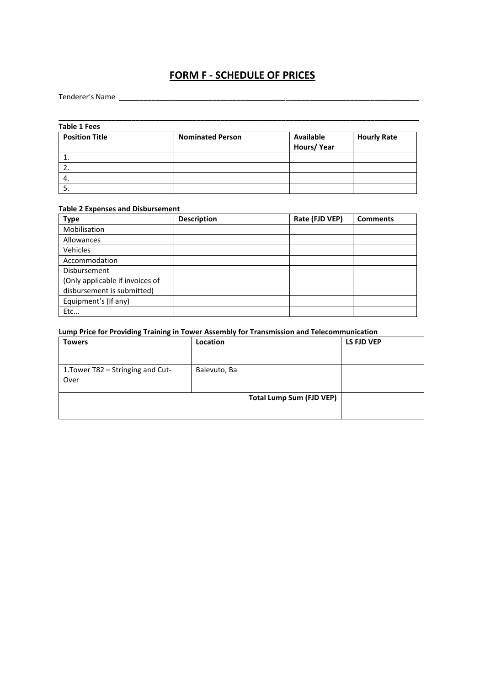# **FORM F - SCHEDULE OF PRICES**

### Tenderer's Name \_\_\_\_\_\_\_\_\_\_\_\_\_\_\_\_\_\_\_\_\_\_\_\_\_\_\_\_\_\_\_\_\_\_\_\_\_\_\_\_\_\_\_\_\_\_\_\_\_\_\_\_\_\_\_\_\_\_\_\_\_\_\_\_\_\_\_\_\_\_\_\_\_\_

| <b>Table 1 Fees</b>   |                         |                         |                    |
|-----------------------|-------------------------|-------------------------|--------------------|
| <b>Position Title</b> | <b>Nominated Person</b> | Available<br>Hours/Year | <b>Hourly Rate</b> |
| ᆠ.                    |                         |                         |                    |
|                       |                         |                         |                    |
| -4.                   |                         |                         |                    |
|                       |                         |                         |                    |

\_\_\_\_\_\_\_\_\_\_\_\_\_\_\_\_\_\_\_\_\_\_\_\_\_\_\_\_\_\_\_\_\_\_\_\_\_\_\_\_\_\_\_\_\_\_\_\_\_\_\_\_\_\_\_\_\_\_\_\_\_\_\_\_\_\_\_\_\_\_\_\_\_\_\_\_\_\_\_\_\_\_\_\_\_\_\_\_\_

#### **Table 2 Expenses and Disbursement**

| <b>Type</b>                     | <b>Description</b> | Rate (FJD VEP) | <b>Comments</b> |
|---------------------------------|--------------------|----------------|-----------------|
| Mobilisation                    |                    |                |                 |
| Allowances                      |                    |                |                 |
| Vehicles                        |                    |                |                 |
| Accommodation                   |                    |                |                 |
| Disbursement                    |                    |                |                 |
| (Only applicable if invoices of |                    |                |                 |
| disbursement is submitted)      |                    |                |                 |
| Equipment's (If any)            |                    |                |                 |
| Etc                             |                    |                |                 |

## **Lump Price for Providing Training in Tower Assembly for Transmission and Telecommunication**

| <b>Towers</b>                             | Location                        | LS FJD VEP |
|-------------------------------------------|---------------------------------|------------|
| 1. Tower T82 - Stringing and Cut-<br>Over | Balevuto, Ba                    |            |
|                                           | <b>Total Lump Sum (FJD VEP)</b> |            |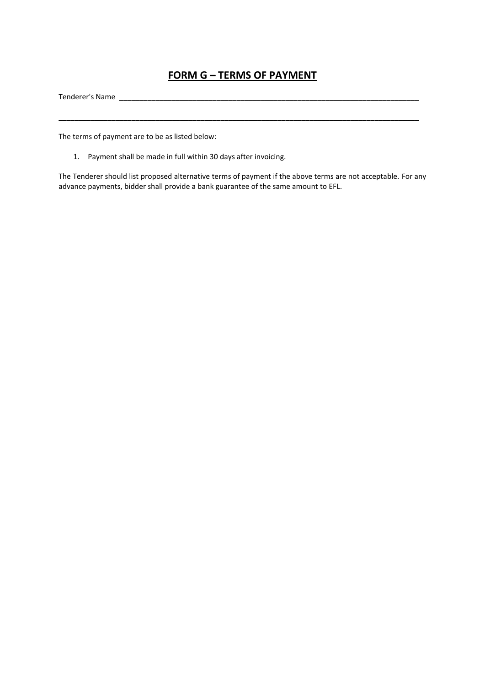## **FORM G – TERMS OF PAYMENT**

\_\_\_\_\_\_\_\_\_\_\_\_\_\_\_\_\_\_\_\_\_\_\_\_\_\_\_\_\_\_\_\_\_\_\_\_\_\_\_\_\_\_\_\_\_\_\_\_\_\_\_\_\_\_\_\_\_\_\_\_\_\_\_\_\_\_\_\_\_\_\_\_\_\_\_\_\_\_\_\_\_\_\_\_\_\_\_\_\_

Tenderer's Name \_\_\_\_\_\_\_\_\_\_\_\_\_\_\_\_\_\_\_\_\_\_\_\_\_\_\_\_\_\_\_\_\_\_\_\_\_\_\_\_\_\_\_\_\_\_\_\_\_\_\_\_\_\_\_\_\_\_\_\_\_\_\_\_\_\_\_\_\_\_\_\_\_\_

The terms of payment are to be as listed below:

1. Payment shall be made in full within 30 days after invoicing.

The Tenderer should list proposed alternative terms of payment if the above terms are not acceptable. For any advance payments, bidder shall provide a bank guarantee of the same amount to EFL.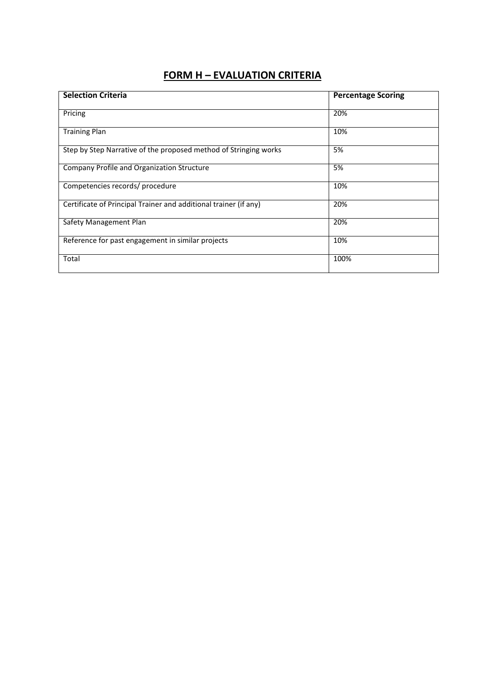# **FORM H – EVALUATION CRITERIA**

| <b>Selection Criteria</b>                                        | <b>Percentage Scoring</b> |
|------------------------------------------------------------------|---------------------------|
|                                                                  |                           |
| Pricing                                                          | 20%                       |
| <b>Training Plan</b>                                             | 10%                       |
| Step by Step Narrative of the proposed method of Stringing works | 5%                        |
| Company Profile and Organization Structure                       | 5%                        |
| Competencies records/ procedure                                  | 10%                       |
| Certificate of Principal Trainer and additional trainer (if any) | 20%                       |
| Safety Management Plan                                           | 20%                       |
| Reference for past engagement in similar projects                | 10%                       |
| Total                                                            | 100%                      |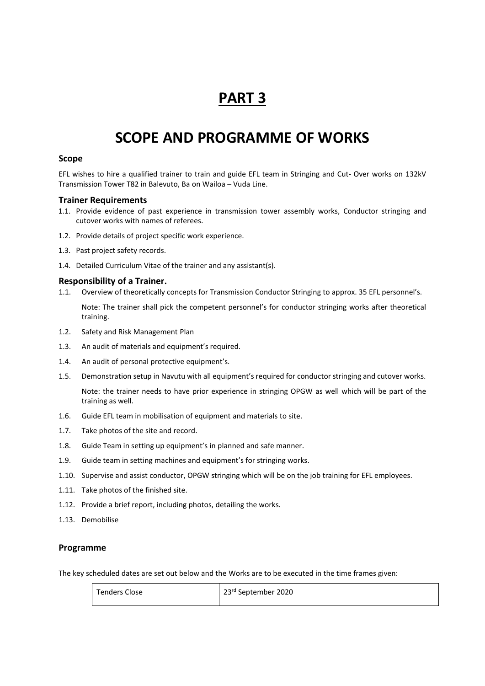# **SCOPE AND PROGRAMME OF WORKS**

### **Scope**

EFL wishes to hire a qualified trainer to train and guide EFL team in Stringing and Cut- Over works on 132kV Transmission Tower T82 in Balevuto, Ba on Wailoa – Vuda Line.

#### **Trainer Requirements**

- 1.1. Provide evidence of past experience in transmission tower assembly works, Conductor stringing and cutover works with names of referees.
- 1.2. Provide details of project specific work experience.
- 1.3. Past project safety records.
- 1.4. Detailed Curriculum Vitae of the trainer and any assistant(s).

### **Responsibility of a Trainer.**

- 1.1. Overview of theoretically concepts for Transmission Conductor Stringing to approx. 35 EFL personnel's. Note: The trainer shall pick the competent personnel's for conductor stringing works after theoretical training.
- 1.2. Safety and Risk Management Plan
- 1.3. An audit of materials and equipment's required.
- 1.4. An audit of personal protective equipment's.
- 1.5. Demonstration setup in Navutu with all equipment's required for conductor stringing and cutover works.

Note: the trainer needs to have prior experience in stringing OPGW as well which will be part of the training as well.

- 1.6. Guide EFL team in mobilisation of equipment and materials to site.
- 1.7. Take photos of the site and record.
- 1.8. Guide Team in setting up equipment's in planned and safe manner.
- 1.9. Guide team in setting machines and equipment's for stringing works.
- 1.10. Supervise and assist conductor, OPGW stringing which will be on the job training for EFL employees.
- 1.11. Take photos of the finished site.
- 1.12. Provide a brief report, including photos, detailing the works.
- 1.13. Demobilise

#### **Programme**

The key scheduled dates are set out below and the Works are to be executed in the time frames given:

| <sup>1</sup> Tenders Close | 23rd September 2020 |
|----------------------------|---------------------|
|                            |                     |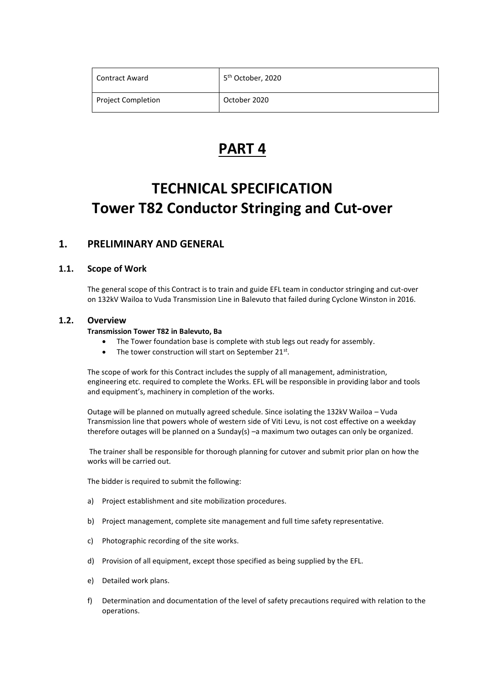| Contract Award            | 5 <sup>th</sup> October, 2020 |
|---------------------------|-------------------------------|
| <b>Project Completion</b> | October 2020                  |

# **TECHNICAL SPECIFICATION Tower T82 Conductor Stringing and Cut-over**

## **1. PRELIMINARY AND GENERAL**

## **1.1. Scope of Work**

The general scope of this Contract is to train and guide EFL team in conductor stringing and cut-over on 132kV Wailoa to Vuda Transmission Line in Balevuto that failed during Cyclone Winston in 2016.

### **1.2. Overview**

### **Transmission Tower T82 in Balevuto, Ba**

- The Tower foundation base is complete with stub legs out ready for assembly.
- The tower construction will start on September 21 $^{\text{st}}$ .

The scope of work for this Contract includes the supply of all management, administration, engineering etc. required to complete the Works. EFL will be responsible in providing labor and tools and equipment's, machinery in completion of the works.

Outage will be planned on mutually agreed schedule. Since isolating the 132kV Wailoa – Vuda Transmission line that powers whole of western side of Viti Levu, is not cost effective on a weekday therefore outages will be planned on a Sunday(s) –a maximum two outages can only be organized.

The trainer shall be responsible for thorough planning for cutover and submit prior plan on how the works will be carried out.

The bidder is required to submit the following:

- a) Project establishment and site mobilization procedures.
- b) Project management, complete site management and full time safety representative.
- c) Photographic recording of the site works.
- d) Provision of all equipment, except those specified as being supplied by the EFL.
- e) Detailed work plans.
- f) Determination and documentation of the level of safety precautions required with relation to the operations.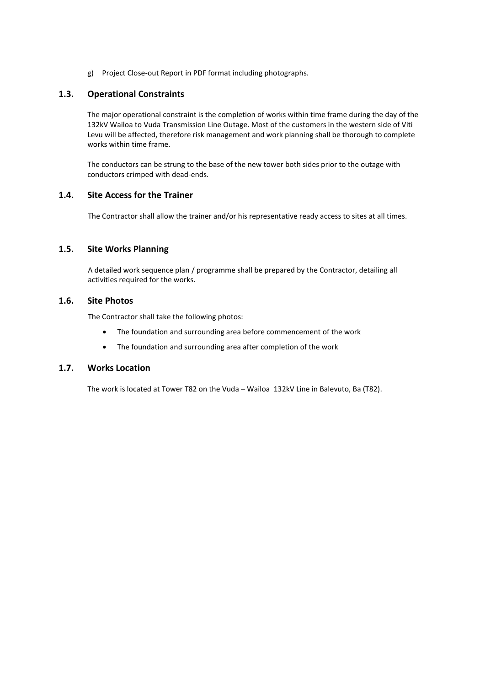g) Project Close-out Report in PDF format including photographs.

### **1.3. Operational Constraints**

The major operational constraint is the completion of works within time frame during the day of the 132kV Wailoa to Vuda Transmission Line Outage. Most of the customers in the western side of Viti Levu will be affected, therefore risk management and work planning shall be thorough to complete works within time frame.

The conductors can be strung to the base of the new tower both sides prior to the outage with conductors crimped with dead-ends.

### **1.4. Site Access for the Trainer**

The Contractor shall allow the trainer and/or his representative ready access to sites at all times.

### **1.5. Site Works Planning**

A detailed work sequence plan / programme shall be prepared by the Contractor, detailing all activities required for the works.

## **1.6. Site Photos**

The Contractor shall take the following photos:

- The foundation and surrounding area before commencement of the work
- The foundation and surrounding area after completion of the work

### **1.7. Works Location**

The work is located at Tower T82 on the Vuda – Wailoa 132kV Line in Balevuto, Ba (T82).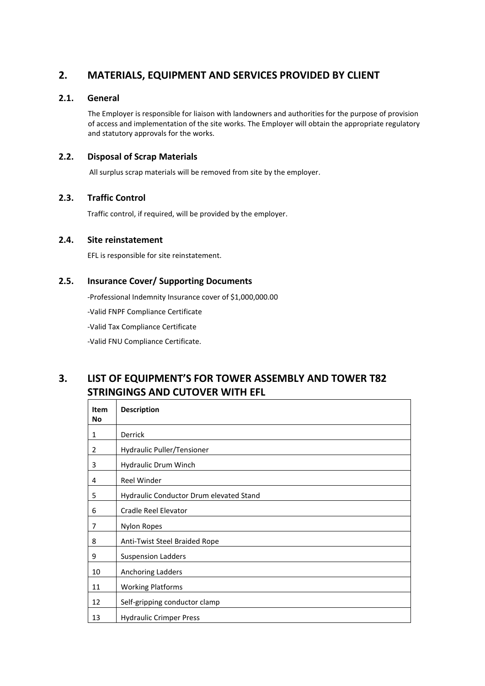# **2. MATERIALS, EQUIPMENT AND SERVICES PROVIDED BY CLIENT**

## **2.1. General**

The Employer is responsible for liaison with landowners and authorities for the purpose of provision of access and implementation of the site works. The Employer will obtain the appropriate regulatory and statutory approvals for the works.

## **2.2. Disposal of Scrap Materials**

All surplus scrap materials will be removed from site by the employer.

## **2.3. Traffic Control**

Traffic control, if required, will be provided by the employer.

### **2.4. Site reinstatement**

EFL is responsible for site reinstatement.

## **2.5. Insurance Cover/ Supporting Documents**

-Professional Indemnity Insurance cover of \$1,000,000.00

-Valid FNPF Compliance Certificate

-Valid Tax Compliance Certificate

-Valid FNU Compliance Certificate.

## **3. LIST OF EQUIPMENT'S FOR TOWER ASSEMBLY AND TOWER T82 STRINGINGS AND CUTOVER WITH EFL**

| Item<br><b>No</b> | <b>Description</b>                      |
|-------------------|-----------------------------------------|
| 1                 | <b>Derrick</b>                          |
| $\overline{2}$    | Hydraulic Puller/Tensioner              |
| 3                 | Hydraulic Drum Winch                    |
| 4                 | Reel Winder                             |
| 5                 | Hydraulic Conductor Drum elevated Stand |
| 6                 | Cradle Reel Elevator                    |
| 7                 | <b>Nylon Ropes</b>                      |
| 8                 | Anti-Twist Steel Braided Rope           |
| 9                 | <b>Suspension Ladders</b>               |
| 10                | Anchoring Ladders                       |
| 11                | <b>Working Platforms</b>                |
| 12                | Self-gripping conductor clamp           |
| 13                | <b>Hydraulic Crimper Press</b>          |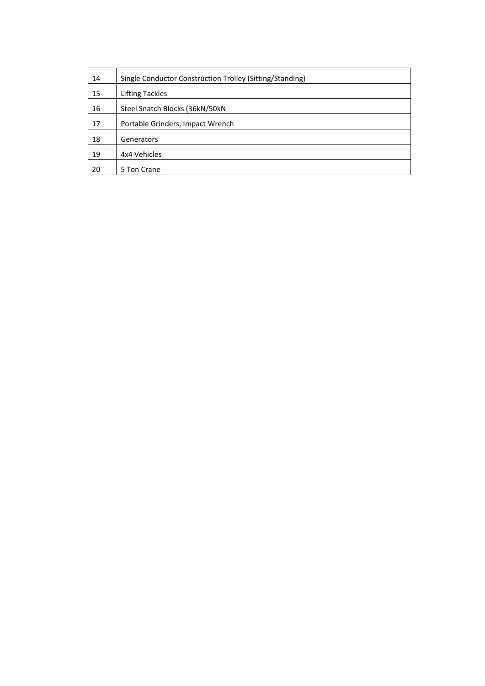| 14 | Single Conductor Construction Trolley (Sitting/Standing) |
|----|----------------------------------------------------------|
| 15 | <b>Lifting Tackles</b>                                   |
| 16 | Steel Snatch Blocks (36kN/50kN)                          |
| 17 | Portable Grinders, Impact Wrench                         |
| 18 | Generators                                               |
| 19 | 4x4 Vehicles                                             |
| 20 | 5 Ton Crane                                              |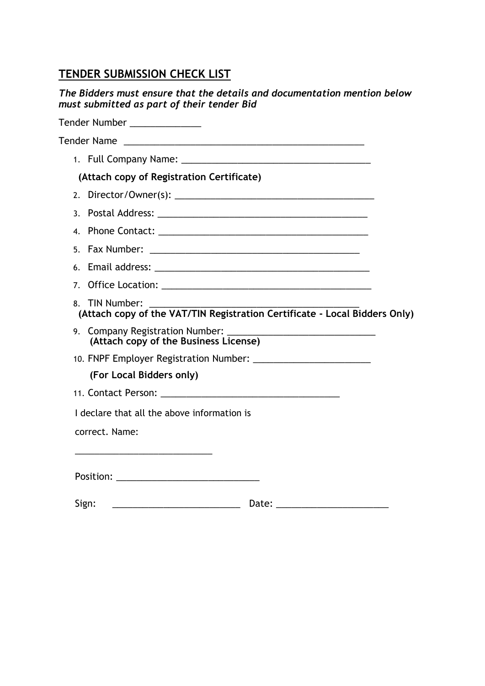# **TENDER SUBMISSION CHECK LIST**

| The Bidders must ensure that the details and documentation mention below<br>must submitted as part of their tender Bid |
|------------------------------------------------------------------------------------------------------------------------|
| Tender Number                                                                                                          |
| Tender Name                                                                                                            |

1. Full Company Name: **(Attach copy of Registration Certificate)** 2. Director/Owner(s): \_\_\_\_\_\_\_\_\_\_\_\_\_\_\_\_\_\_\_\_\_\_\_\_\_\_\_\_\_\_\_\_\_\_\_\_\_\_\_ 3. Postal Address: \_\_\_\_\_\_\_\_\_\_\_\_\_\_\_\_\_\_\_\_\_\_\_\_\_\_\_\_\_\_\_\_\_\_\_\_\_\_\_\_\_ 4. Phone Contact: \_\_\_\_\_\_\_\_\_\_\_\_\_\_\_\_\_\_\_\_\_\_\_\_\_\_\_\_\_\_\_\_\_\_\_\_\_\_\_\_\_ 5. Fax Number: \_\_\_\_\_\_\_\_\_\_\_\_\_\_\_\_\_\_\_\_\_\_\_\_\_\_\_\_\_\_\_\_\_\_\_\_\_\_\_\_\_ 6. Email address: \_\_\_\_\_\_\_\_\_\_\_\_\_\_\_\_\_\_\_\_\_\_\_\_\_\_\_\_\_\_\_\_\_\_\_\_\_\_\_\_\_\_ 7. Office Location: \_\_\_\_\_\_\_\_\_\_\_\_\_\_\_\_\_\_\_\_\_\_\_\_\_\_\_\_\_\_\_\_\_\_\_\_\_\_\_\_\_ 8. TIN Number: **(Attach copy of the VAT/TIN Registration Certificate - Local Bidders Only)** 9. Company Registration Number: **(Attach copy of the Business License)** 10. FNPF Employer Registration Number: \_\_\_\_\_\_\_\_\_\_\_\_\_\_\_\_\_\_\_\_\_\_\_ **(For Local Bidders only)** 11. Contact Person: \_\_\_\_\_\_\_\_\_\_\_\_\_\_\_\_\_\_\_\_\_\_\_\_\_\_\_\_\_\_\_\_\_\_\_ I declare that all the above information is correct. Name:

\_\_\_\_\_\_\_\_\_\_\_\_\_\_\_\_\_\_\_\_\_\_\_\_\_\_\_\_

| Position: |  |
|-----------|--|
|           |  |

| Sign: | . |
|-------|---|
|       |   |